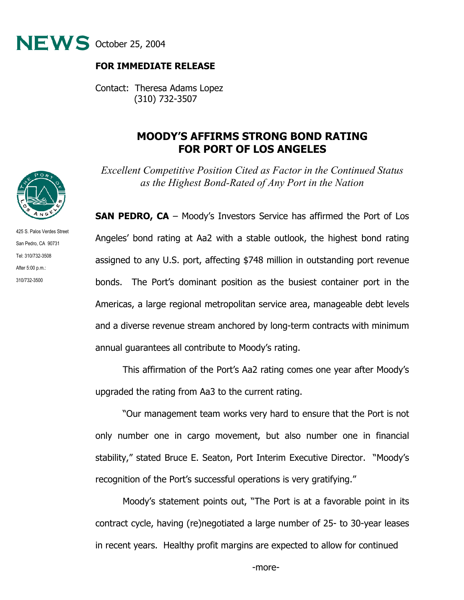

## **FOR IMMEDIATE RELEASE**

Contact: Theresa Adams Lopez (310) 732-3507

## **MOODY'S AFFIRMS STRONG BOND RATING FOR PORT OF LOS ANGELES**

*Excellent Competitive Position Cited as Factor in the Continued Status as the Highest Bond-Rated of Any Port in the Nation* 

**SAN PEDRO, CA** – Moody's Investors Service has affirmed the Port of Los Angeles' bond rating at Aa2 with a stable outlook, the highest bond rating assigned to any U.S. port, affecting \$748 million in outstanding port revenue bonds. The Port's dominant position as the busiest container port in the Americas, a large regional metropolitan service area, manageable debt levels and a diverse revenue stream anchored by long-term contracts with minimum annual guarantees all contribute to Moody's rating.

This affirmation of the Port's Aa2 rating comes one year after Moody's upgraded the rating from Aa3 to the current rating.

"Our management team works very hard to ensure that the Port is not only number one in cargo movement, but also number one in financial stability," stated Bruce E. Seaton, Port Interim Executive Director. "Moody's recognition of the Port's successful operations is very gratifying."

Moody's statement points out, "The Port is at a favorable point in its contract cycle, having (re)negotiated a large number of 25- to 30-year leases in recent years. Healthy profit margins are expected to allow for continued



425 S. Palos Verdes Street San Pedro, CA 90731 Tel: 310/732-3508 After 5:00 p.m.: 310/732-3500